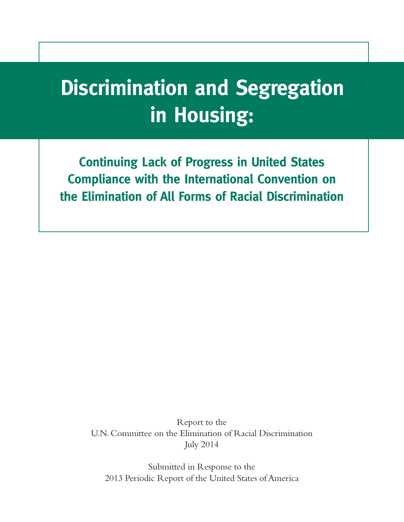# **Discrimination and Segregation in Housing:**

**Continuing Lack of Progress in United States Compliance with the International Convention on the Elimination of All Forms of Racial Discrimination**

> Report to the U.N. Committee on the Elimination of Racial Discrimination July 2014

Submitted in Response to the 2013 Periodic Report of the United States of America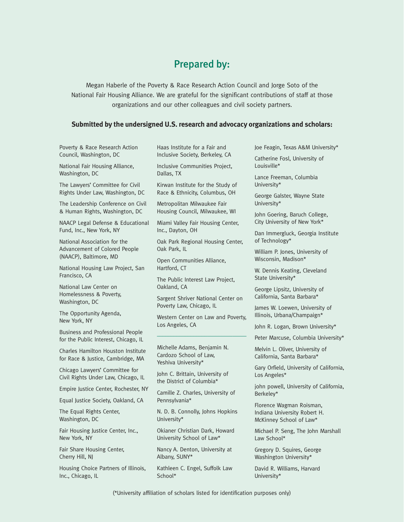## Prepared by:

Megan Haberle of the Poverty & Race Research Action Council and Jorge Soto of the National Fair Housing Alliance. We are grateful for the significant contributions of staff at those organizations and our other colleagues and civil society partners.

#### **Submitted by the undersigned U.S. research and advocacy organizations and scholars:**

| Poverty & Race Research Action                                                          | Haas Institute for a Fair and                                                                                     | Joe Feagin, Texas A&M University*                                                                                    |
|-----------------------------------------------------------------------------------------|-------------------------------------------------------------------------------------------------------------------|----------------------------------------------------------------------------------------------------------------------|
| Council, Washington, DC                                                                 | Inclusive Society, Berkeley, CA<br>Inclusive Communities Project,<br>Dallas, TX                                   | Catherine Fosl, University of<br>Louisville*                                                                         |
| National Fair Housing Alliance,<br>Washington, DC                                       |                                                                                                                   |                                                                                                                      |
| The Lawyers' Committee for Civil                                                        | Kirwan Institute for the Study of                                                                                 | Lance Freeman, Columbia<br>University*                                                                               |
| Rights Under Law, Washington, DC                                                        | Race & Ethnicity, Columbus, OH                                                                                    | George Galster, Wayne State<br>University*                                                                           |
| The Leadership Conference on Civil<br>& Human Rights, Washington, DC                    | Metropolitan Milwaukee Fair<br>Housing Council, Milwaukee, WI                                                     | John Goering, Baruch College,<br>City University of New York*<br>Dan Immergluck, Georgia Institute<br>of Technology* |
| NAACP Legal Defense & Educational<br>Fund, Inc., New York, NY                           | Miami Valley Fair Housing Center,<br>Inc., Dayton, OH                                                             |                                                                                                                      |
| National Association for the<br>Advancement of Colored People<br>(NAACP), Baltimore, MD | Oak Park Regional Housing Center,<br>Oak Park, IL<br>Open Communities Alliance,<br>Hartford, CT                   |                                                                                                                      |
|                                                                                         |                                                                                                                   | William P. Jones, University of<br>Wisconsin, Madison*                                                               |
| National Housing Law Project, San<br>Francisco, CA                                      |                                                                                                                   | W. Dennis Keating, Cleveland<br>State University*                                                                    |
|                                                                                         | The Public Interest Law Project,<br>Oakland, CA<br>Sargent Shriver National Center on<br>Poverty Law, Chicago, IL |                                                                                                                      |
| National Law Center on<br>Homelessness & Poverty,<br>Washington, DC                     |                                                                                                                   | George Lipsitz, University of<br>California, Santa Barbara*                                                          |
|                                                                                         |                                                                                                                   | James W. Loewen, University of                                                                                       |
| The Opportunity Agenda,<br>New York, NY                                                 | Western Center on Law and Poverty,<br>Los Angeles, CA                                                             | Illinois, Urbana/Champaign*                                                                                          |
| Business and Professional People                                                        |                                                                                                                   | John R. Logan, Brown University*                                                                                     |
| for the Public Interest, Chicago, IL                                                    |                                                                                                                   | Peter Marcuse, Columbia University*                                                                                  |
| Charles Hamilton Houston Institute<br>for Race & Justice, Cambridge, MA                 | Michelle Adams, Benjamin N.<br>Cardozo School of Law,<br>Yeshiva University*                                      | Melvin L. Oliver, University of<br>California, Santa Barbara*                                                        |
| Chicago Lawyers' Committee for<br>Civil Rights Under Law, Chicago, IL                   | John C. Brittain, University of                                                                                   | Gary Orfield, University of California,<br>Los Angeles*                                                              |
| Empire Justice Center, Rochester, NY                                                    | the District of Columbia*<br>Camille Z. Charles, University of<br>Berkeley*<br>Pennsylvania*                      | john powell, University of California,                                                                               |
| Equal Justice Society, Oakland, CA                                                      |                                                                                                                   |                                                                                                                      |
| The Equal Rights Center,<br>Washington, DC                                              | N. D. B. Connolly, Johns Hopkins<br>University*                                                                   | Florence Wagman Roisman,<br>Indiana University Robert H.<br>McKinney School of Law*                                  |
| Fair Housing Justice Center, Inc.,<br>New York, NY                                      | Okianer Christian Dark, Howard<br>University School of Law*                                                       | Michael P. Seng, The John Marshall<br>Law School*                                                                    |
| Fair Share Housing Center,<br>Cherry Hill, NJ                                           | Nancy A. Denton, University at<br>Albany, SUNY*                                                                   | Gregory D. Squires, George<br>Washington University*                                                                 |
| Housing Choice Partners of Illinois,<br>Inc., Chicago, IL                               | Kathleen C. Engel, Suffolk Law<br>School*                                                                         | David R. Williams, Harvard<br>University*                                                                            |
|                                                                                         |                                                                                                                   |                                                                                                                      |

(\*University affiliation of scholars listed for identification purposes only)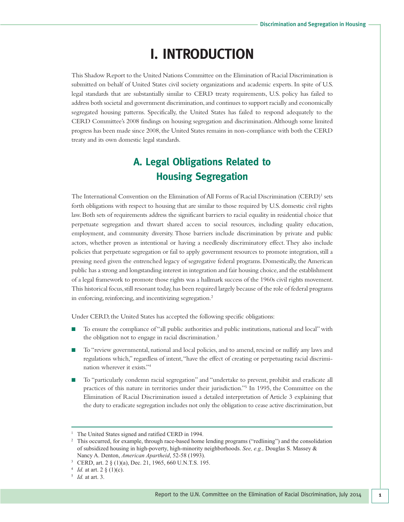## **I. INTRODUCTION**

This Shadow Report to the United Nations Committee on the Elimination of Racial Discrimination is submitted on behalf of United States civil society organizations and academic experts. In spite of U.S. legal standards that are substantially similar to CERD treaty requirements, U.S. policy has failed to address both societal and government discrimination,and continues to support racially and economically segregated housing patterns. Specifically, the United States has failed to respond adequately to the CERD Committee's 2008 findings on housing segregation and discrimination.Although some limited progress has been made since 2008,the United States remains in non-compliance with both the CERD treaty and its own domestic legal standards.

## **A. Legal Obligations Related to Housing Segregation**

The International Convention on the Elimination of All Forms of Racial Discrimination (CERD)<sup>1</sup> sets forth obligations with respect to housing that are similar to those required by U.S. domestic civil rights law. Both sets of requirements address the significant barriers to racial equality in residential choice that perpetuate segregation and thwart shared access to social resources, including quality education, employment, and community diversity. Those barriers include discrimination by private and public actors, whether proven as intentional or having a needlessly discriminatory effect.They also include policies that perpetuate segregation or fail to apply government resources to promote integration, still a pressing need given the entrenched legacy of segregative federal programs. Domestically, the American public has a strong and longstanding interest in integration and fair housing choice, and the establishment of a legal framework to promote those rights was a hallmark success of the 1960s civil rights movement. This historical focus, still resonant today, has been required largely because of the role of federal programs in enforcing, reinforcing, and incentivizing segregation.<sup>2</sup>

Under CERD, the United States has accepted the following specific obligations:

- To ensure the compliance of "all public authorities and public institutions, national and local" with the obligation not to engage in racial discrimination. 3
- To "review governmental, national and local policies, and to amend, rescind or nullify any laws and regulations which," regardless of intent,"have the effect of creating or perpetuating racial discrimination wherever it exists."4
- To "particularly condemn racial segregation" and "undertake to prevent, prohibit and eradicate all practices of this nature in territories under their jurisdiction."5 In 1995, the Committee on the Elimination of Racial Discrimination issued a detailed interpretation of Article 3 explaining that the duty to eradicate segregation includes not only the obligation to cease active discrimination,but

<sup>&</sup>lt;sup>1</sup> The United States signed and ratified CERD in 1994.

<sup>&</sup>lt;sup>2</sup> This occurred, for example, through race-based home lending programs ("redlining") and the consolidation of subsidized housing in high-poverty, high-minority neighborhoods. *See, e.g.,* Douglas S. Massey & Nancy A. Denton, *American Apartheid*, 52-58 (1993).

<sup>3</sup> CERD, art. 2 § (1)(a), Dec. 21, 1965, 660 U.N.T.S. 195.

<sup>4</sup> *Id.* at art. 2 § (1)(c).

<sup>5</sup> *Id.* at art. 3.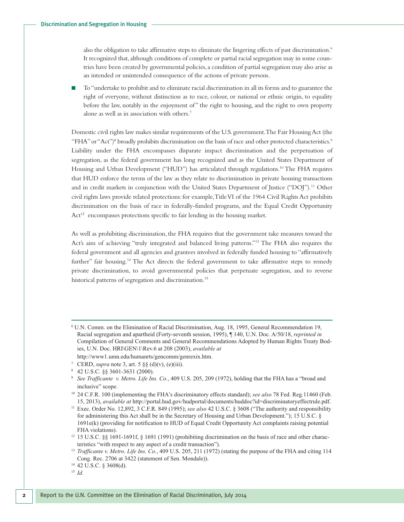also the obligation to take affirmative steps to eliminate the lingering effects of past discrimination. 6 It recognized that, although conditions of complete or partial racial segregation may in some countries have been created by governmental policies, a condition of partial segregation may also arise as an intended or unintended consequence of the actions of private persons.

■ To "undertake to prohibit and to eliminate racial discrimination in all its forms and to guarantee the right of everyone, without distinction as to race, colour, or national or ethnic origin, to equality before the law, notably in the enjoyment of" the right to housing,and the right to own property alone as well as in association with others. 7

Domestic civil rights law makes similar requirements of the U.S. government.The Fair HousingAct (the "FHA" or "Act")<sup>8</sup> broadly prohibits discrimination on the basis of race and other protected characteristics.<sup>9</sup> Liability under the FHA encompasses disparate impact discrimination and the perpetuation of segregation, as the federal government has long recognized and as the United States Department of Housing and Urban Development ("HUD") has articulated through regulations. <sup>10</sup> The FHA requires that HUD enforce the terms of the law as they relate to discrimination in private housing transactions and in credit markets in conjunction with the United States Department of Justice ("DOJ").<sup>11</sup> Other civil rights laws provide related protections: for example,TitleVI of the 1964 Civil Rights Act prohibits discrimination on the basis of race in federally-funded programs, and the Equal Credit Opportunity Act<sup>12</sup> encompasses protections specific to fair lending in the housing market.

As well as prohibiting discrimination, the FHA requires that the government take measures toward the Act's aim of achieving "truly integrated and balanced living patterns."13 The FHA also requires the federal government and all agencies and grantees involved in federally funded housing to "affirmatively further" fair housing.<sup>14</sup> The Act directs the federal government to take affirmative steps to remedy private discrimination, to avoid governmental policies that perpetuate segregation, and to reverse historical patterns of segregation and discrimination. 15

<sup>6</sup> U.N. Comm. on the Elimination of Racial Discrimination, Aug. 18, 1995, General Recommendation 19, Racial segregation and apartheid (Forty-seventh session, 1995), ¶ 140, U.N. Doc. A/50/18, *reprinted in* Compilation of General Comments and General Recommendations Adopted by Human Rights Treaty Bodies, U.N. Doc. HRI\GEN\1\Rev.6 at 208 (2003), *available at* http://www1.umn.edu/humanrts/gencomm/genrexix.htm.

<sup>&</sup>lt;sup>7</sup> CERD, *supra* note 3, art. 5  $\S\S( d)(v)$ , (e)(iii).

<sup>8</sup> 42 U.S.C. §§ 3601-3631 (2000).

<sup>9</sup> *See Trafficante v. Metro. Life Ins. Co.*, 409 U.S. 205, 209 (1972), holding that the FHA has a "broad and inclusive" scope.

<sup>10</sup> 24 C.F.R. 100 (implementing the FHA's discriminatory effects standard); *see also* 78 Fed. Reg*.*11460 (Feb. 15, 2013), *available at* http://portal.hud.gov/hudportal/documents/huddoc?id=discriminatoryeffectrule.pdf.

<sup>11</sup> Exec. Order No. 12,892, 3 C.F.R. 849 (1995); *see also* 42 U.S.C. § 3608 ("The authority and responsibility for administering this Act shall be in the Secretary of Housing and Urban Development."); 15 U.S.C. § 1691e(k) (providing for notification to HUD of Equal Credit Opportunity Act complaints raising potential FHA violations).

<sup>&</sup>lt;sup>12</sup> 15 U.S.C. §§ 1691-1691f, § 1691 (1991) (prohibiting discrimination on the basis of race and other characteristics "with respect to any aspect of a credit transaction").

<sup>13</sup> *Trafficante v. Metro. Life Ins. Co.*, 409 U.S. 205, 211 (1972) (stating the purpose of the FHA and citing 114 Cong. Rec. 2706 at 3422 (statement of Sen. Mondale)).

<sup>14</sup> 42 U.S.C. § 3608(d).

<sup>15</sup> *Id.*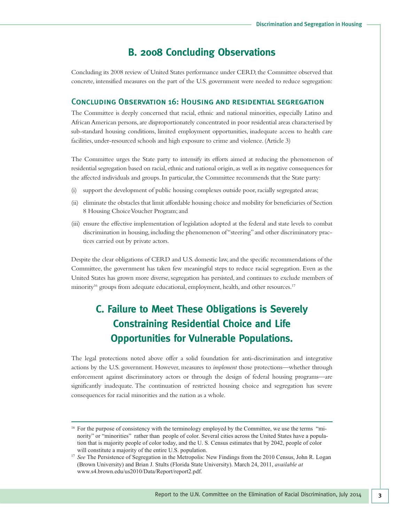### **B. 2008 Concluding Observations**

Concluding its 2008 review of United States performance under CERD, the Committee observed that concrete, intensified measures on the part of the U.S. government were needed to reduce segregation:

#### Concluding Observation 16: Housing and residential segregation

The Committee is deeply concerned that racial, ethnic and national minorities, especially Latino and AfricanAmerican persons,are disproportionately concentrated in poor residential areas characterised by sub-standard housing conditions, limited employment opportunities, inadequate access to health care facilities, under-resourced schools and high exposure to crime and violence. (Article 3)

The Committee urges the State party to intensify its efforts aimed at reducing the phenomenon of residential segregation based on racial, ethnic and national origin,as well as its negative consequences for the affected individuals and groups.In particular, the Committee recommends that the State party:

- (i) support the development of public housing complexes outside poor,racially segregated areas;
- (ii) eliminate the obstacles that limit affordable housing choice and mobility for beneficiaries of Section 8 Housing Choice Voucher Program; and
- (iii) ensure the effective implementation of legislation adopted at the federal and state levels to combat discrimination in housing, including the phenomenon of "steering" and other discriminatory practices carried out by private actors.

Despite the clear obligations of CERD and U.S. domestic law,and the specific recommendations of the Committee, the government has taken few meaningful steps to reduce racial segregation. Even as the United States has grown more diverse, segregation has persisted, and continues to exclude members of minority<sup>16</sup> groups from adequate educational, employment, health, and other resources.<sup>17</sup>

## **C. Failure to Meet These Obligations is Severely Constraining Residential Choice and Life Opportunities for Vulnerable Populations.**

The legal protections noted above offer a solid foundation for anti-discrimination and integrative actions by the U.S. government. However, measures to *implement* those protections—whether through enforcement against discriminatory actors or through the design of federal housing programs—are significantly inadequate. The continuation of restricted housing choice and segregation has severe consequences for racial minorities and the nation as a whole.

<sup>&</sup>lt;sup>16</sup> For the purpose of consistency with the terminology employed by the Committee, we use the terms "minority" or "minorities" rather than people of color. Several cities across the United States have a population that is majority people of color today, and the U. S. Census estimates that by 2042, people of color will constitute a majority of the entire U.S. population.

<sup>&</sup>lt;sup>17</sup> See The Persistence of Segregation in the Metropolis: New Findings from the 2010 Census, John R. Logan (Brown University) and Brian J. Stults (Florida State University). March 24, 2011, *available at* www.s4.brown.edu/us2010/Data/Report/report2.pdf.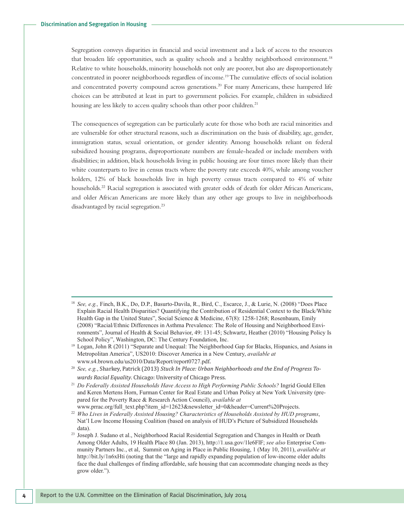Segregation conveys disparities in financial and social investment and a lack of access to the resources that broaden life opportunities, such as quality schools and a healthy neighborhood environment.<sup>18</sup> Relative to white households, minority households not only are poorer, but also are disproportionately concentrated in poorer neighborhoods regardless of income. 19The cumulative effects of social isolation and concentrated poverty compound across generations. <sup>20</sup> For many Americans, these hampered life choices can be attributed at least in part to government policies. For example, children in subsidized housing are less likely to access quality schools than other poor children. 21

The consequences of segregation can be particularly acute for those who both are racial minorities and are vulnerable for other structural reasons, such as discrimination on the basis of disability, age, gender, immigration status, sexual orientation, or gender identity. Among households reliant on federal subsidized housing programs, disproportionate numbers are female-headed or include members with disabilities; in addition, black households living in public housing are four times more likely than their white counterparts to live in census tracts where the poverty rate exceeds 40%, while among voucher holders, 12% of black households live in high poverty census tracts compared to 4% of white households. <sup>22</sup> Racial segregation is associated with greater odds of death for older African Americans, and older African Americans are more likely than any other age groups to live in neighborhoods disadvantaged by racial segregation. 23

- <sup>20</sup> *See, e.g.*, Sharkey, Patrick (2013) *Stuck In Place: Urban Neighborhoods and the End of Progress Towards Racial Equality*. Chicago: University of Chicago Press.
- <sup>21</sup> *Do Federally Assisted Households Have Access to High Performing Public Schools?* Ingrid Gould Ellen and Keren Mertens Horn, Furman Center for Real Estate and Urban Policy at New York University (prepared for the Poverty Race & Research Action Council), *available at* www.prrac.org/full\_text.php?item\_id=12623&newsletter\_id=0&header=Current%20Projects.
- <sup>22</sup> *Who Lives in Federally Assisted Housing? Characteristics of Households Assisted by HUD programs*, Nat'l Low Income Housing Coalition (based on analysis of HUD's Picture of Subsidized Households data).
- <sup>23</sup> Joseph J. Sudano et al., Neighborhood Racial Residential Segregation and Changes in Health or Death Among Older Adults, 19 Health Place 80 (Jan. 2013), http://1.usa.gov/1le6FlF; *see also* Enterprise Community Partners Inc., et al, Summit on Aging in Place in Public Housing, 1 (May 10, 2011), *available at* http://bit.ly/1n6xHti (noting that the "large and rapidly expanding population of low-income older adults face the dual challenges of finding affordable, safe housing that can accommodate changing needs as they grow older.").

<sup>18</sup> *See, e.g.,* Finch, B.K., Do, D.P., Basurto-Davila, R., Bird, C., Escarce, J., & Lurie, N. (2008) "Does Place Explain Racial Health Disparities? Quantifying the Contribution of Residential Context to the Black/White Health Gap in the United States", Social Science & Medicine, 67(8): 1258-1268; Rosenbaum, Emily (2008) "Racial/Ethnic Differences in Asthma Prevalence: The Role of Housing and Neighborhood Environments", Journal of Health & Social Behavior, 49: 131-45; Schwartz, Heather (2010) "Housing Policy Is School Policy", Washington, DC: The Century Foundation, Inc.

Logan, John R (2011) "Separate and Unequal: The Neighborhood Gap for Blacks, Hispanics, and Asians in Metropolitan America", US2010: Discover America in a New Century, *available at* www.s4.brown.edu/us2010/Data/Report/report0727.pdf.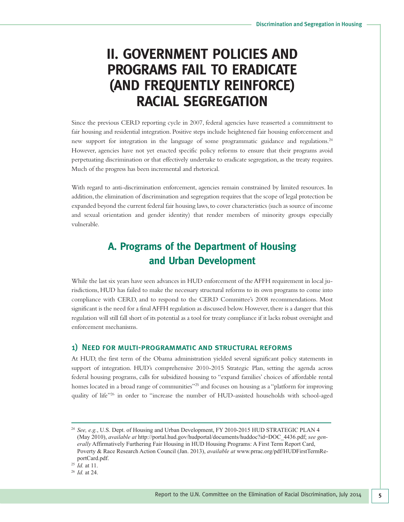## **II. GOVERNMENT POLICIES AND PROGRAMS FAIL TO ERADICATE (AND FREQUENTLY REINFORCE) RACIAL SEGREGATION**

Since the previous CERD reporting cycle in 2007, federal agencies have reasserted a commitment to fair housing and residential integration. Positive steps include heightened fair housing enforcement and new support for integration in the language of some programmatic guidance and regulations.<sup>24</sup> However, agencies have not yet enacted specific policy reforms to ensure that their programs avoid perpetuating discrimination or that effectively undertake to eradicate segregation, as the treaty requires. Much of the progress has been incremental and rhetorical.

With regard to anti-discrimination enforcement, agencies remain constrained by limited resources. In addition, the elimination of discrimination and segregation requires that the scope of legal protection be expanded beyond the current federal fair housing laws,to cover characteristics (such as source of income and sexual orientation and gender identity) that render members of minority groups especially vulnerable.

## **A. Programs of the Department of Housing and Urban Development**

While the last six years have seen advances in HUD enforcement of the AFFH requirement in local jurisdictions, HUD has failed to make the necessary structural reforms to its own programs to come into compliance with CERD, and to respond to the CERD Committee's 2008 recommendations. Most significant is the need for a finalAFFH regulation as discussed below.However,there is a danger that this regulation will still fall short of its potential as a tool for treaty compliance if it lacks robust oversight and enforcement mechanisms.

#### 1) Need for multi-programmatic and structural reforms

At HUD, the first term of the Obama administration yielded several significant policy statements in support of integration. HUD's comprehensive 2010-2015 Strategic Plan, setting the agenda across federal housing programs, calls for subsidized housing to "expand families' choices of affordable rental homes located in a broad range of communities"<sup>25</sup> and focuses on housing as a "platform for improving quality of life"26 in order to "increase the number of HUD-assisted households with school-aged

<sup>26</sup> *Id.* at 24.

<sup>24</sup> *See, e.g.*, U.S. Dept. of Housing and Urban Development, FY 2010-2015 HUD STRATEGIC PLAN 4 (May 2010), *available at* http://portal.hud.gov/hudportal/documents/huddoc?id=DOC\_4436.pdf; *see generally* Affirmatively Furthering Fair Housing in HUD Housing Programs: A First Term Report Card, Poverty & Race Research Action Council (Jan. 2013), *available at* www.prrac.org/pdf/HUDFirstTermReportCard.pdf.

<sup>25</sup> *Id.* at 11.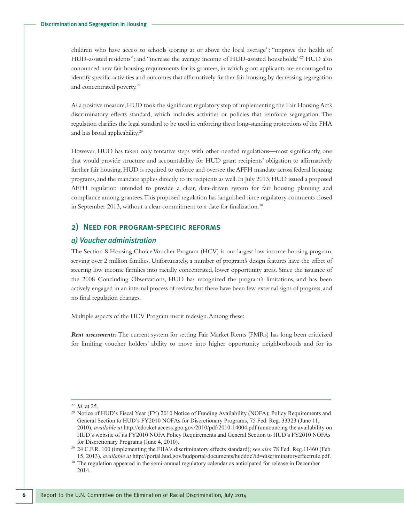children who have access to schools scoring at or above the local average"; "improve the health of HUD-assisted residents"; and "increase the average income of HUD-assisted households."<sup>27</sup> HUD also announced new fair housing requirements for its grantees, in which grant applicants are encouraged to identify specific activities and outcomes that affirmatively further fair housing by decreasing segregation and concentrated poverty. 28

As a positive measure,HUD took the significant regulatory step of implementing the Fair HousingAct's discriminatory effects standard, which includes activities or policies that reinforce segregation. The regulation clarifies the legal standard to be used in enforcing these long-standing protections of the FHA and has broad applicability. 29

However, HUD has taken only tentative steps with other needed regulations—most significantly, one that would provide structure and accountability for HUD grant recipients' obligation to affirmatively further fair housing.HUD is required to enforce and oversee theAFFH mandate across federal housing programs,and the mandate applies directly to its recipients as well.In July 2013,HUD issued a proposed AFFH regulation intended to provide a clear, data-driven system for fair housing planning and compliance among grantees.This proposed regulation has languished since regulatory comments closed in September 2013, without a clear commitment to a date for finalization.<sup>30</sup>

#### 2) Need for program-specific reforms

#### *a) Voucher administration*

The Section 8 Housing ChoiceVoucher Program (HCV) is our largest low income housing program, serving over 2 million families. Unfortunately, a number of program's design features have the effect of steering low income families into racially concentrated, lower opportunity areas. Since the issuance of the 2008 Concluding Observations, HUD has recognized the program's limitations, and has been actively engaged in an internal process of review, but there have been few external signs of progress,and no final regulation changes.

Multiple aspects of the HCV Program merit redesign.Among these:

*Rent assessments:* The current system for setting Fair Market Rents (FMRs) has long been criticized for limiting voucher holders' ability to move into higher opportunity neighborhoods and for its

<sup>27</sup> *Id.* at 25.

<sup>&</sup>lt;sup>28</sup> Notice of HUD's Fiscal Year (FY) 2010 Notice of Funding Availability (NOFA); Policy Requirements and General Section to HUD's FY2010 NOFAs for Discretionary Programs, 75 Fed. Reg. 33323 (June 11, 2010), *available at* http://edocket.access.gpo.gov/2010/pdf/2010-14004.pdf (announcing the availability on HUD's website of its FY2010 NOFA Policy Requirements and General Section to HUD's FY2010 NOFAs for Discretionary Programs (June 4, 2010).

<sup>29</sup> 24 C.F.R. 100 (implementing the FHA's discriminatory effects standard); *see also* 78 Fed. Reg*.*11460 (Feb. 15, 2013), *available at* http://portal.hud.gov/hudportal/documents/huddoc?id=discriminatoryeffectrule.pdf.

<sup>&</sup>lt;sup>30</sup> The regulation appeared in the semi-annual regulatory calendar as anticipated for release in December 2014.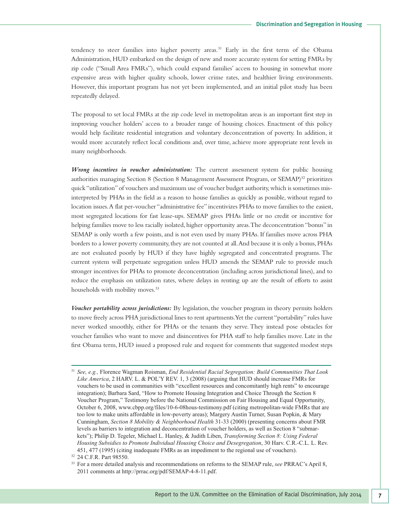tendency to steer families into higher poverty areas. <sup>31</sup> Early in the first term of the Obama Administration, HUD embarked on the design of new and more accurate system for setting FMRs by zip code ("Small Area FMRs"), which could expand families' access to housing in somewhat more expensive areas with higher quality schools, lower crime rates, and healthier living environments. However, this important program has not yet been implemented, and an initial pilot study has been repeatedly delayed.

The proposal to set local FMRs at the zip code level in metropolitan areas is an important first step in improving voucher holders' access to a broader range of housing choices. Enactment of this policy would help facilitate residential integration and voluntary deconcentration of poverty. In addition, it would more accurately reflect local conditions and, over time, achieve more appropriate rent levels in many neighborhoods.

*Wrong incentives in voucher administration:* The current assessment system for public housing authorities managing Section 8 (Section 8 Management Assessment Program, or SEMAP)<sup>32</sup> prioritizes quick "utilization" of vouchers and maximum use of voucher budget authority, which is sometimes misinterpreted by PHAs in the field as a reason to house families as quickly as possible, without regard to location issues.A flat per-voucher "administrative fee" incentivizes PHAs to move families to the easiest, most segregated locations for fast lease-ups. SEMAP gives PHAs little or no credit or incentive for helping families move to less racially isolated, higher opportunity areas.The deconcentration "bonus" in SEMAP is only worth a few points, and is not even used by many PHAs. If families move across PHA borders to a lower poverty community, they are not counted at all. And because it is only a bonus, PHAs are not evaluated poorly by HUD if they have highly segregated and concentrated programs. The current system will perpetuate segregation unless HUD amends the SEMAP rule to provide much stronger incentives for PHAs to promote deconcentration (including across jurisdictional lines), and to reduce the emphasis on utilization rates, where delays in renting up are the result of efforts to assist households with mobility moves. 33

*Voucher portability across jurisdictions:* By legislation, the voucher program in theory permits holders to move freely across PHA jurisdictional lines to rent apartments.Yet the current "portability" rules have never worked smoothly, either for PHAs or the tenants they serve. They instead pose obstacles for voucher families who want to move and disincentives for PHA staff to help families move. Late in the first Obama term, HUD issued a proposed rule and request for comments that suggested modest steps

<sup>31</sup> *See, e.g.,* Florence Wagman Roisman, *End Residential Racial Segregation: Build Communities That Look Like America*, 2 HARV. L. & POL'Y REV. 1, 3 (2008) (arguing that HUD should increase FMRs for vouchers to be used in communities with "excellent resources and concomitantly high rents" to encourage integration); Barbara Sard, "How to Promote Housing Integration and Choice Through the Section 8 Voucher Program," Testimony before the National Commission on Fair Housing and Equal Opportunity, October 6, 2008, www.cbpp.org/files/10-6-08hous-testimony.pdf (citing metropolitan-wide FMRs that are too low to make units affordable in low-poverty areas); Margery Austin Turner, Susan Popkin, & Mary Cunningham, *Section 8 Mobility & Neighborhood Health* 31-33 (2000) (presenting concerns about FMR levels as barriers to integration and deconcentration of voucher holders, as well as Section 8 "submarkets"); Philip D. Tegeler, Michael L. Hanley, & Judith Liben, *Transforming Section 8: Using Federal Housing Subsidies to Promote Individual Housing Choice and Desegregation*, 30 Harv. C.R.-C.L. L. Rev. 451, 477 (1995) (citing inadequate FMRs as an impediment to the regional use of vouchers).

<sup>32</sup> 24 C.F.R. Part 98550.

<sup>33</sup> For a more detailed analysis and recommendations on reforms to the SEMAP rule, *see* PRRAC's April 8, 2011 comments at http://prrac.org/pdf/SEMAP-4-8-11.pdf.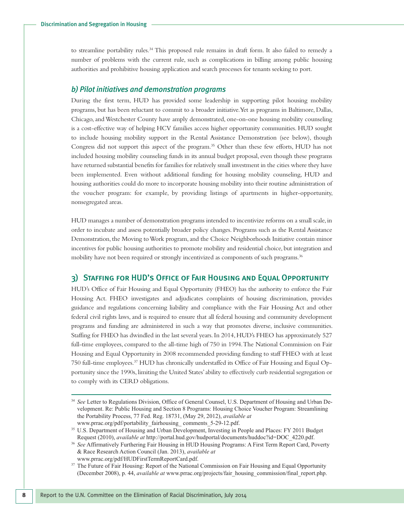to streamline portability rules. <sup>34</sup> This proposed rule remains in draft form. It also failed to remedy a number of problems with the current rule, such as complications in billing among public housing authorities and prohibitive housing application and search processes for tenants seeking to port.

#### *b) Pilot initiatives and demonstration programs*

During the first term, HUD has provided some leadership in supporting pilot housing mobility programs, but has been reluctant to commit to a broader initiative.Yet as programs in Baltimore, Dallas, Chicago, and Westchester County have amply demonstrated, one-on-one housing mobility counseling is a cost-effective way of helping HCV families access higher opportunity communities. HUD sought to include housing mobility support in the Rental Assistance Demonstration (see below), though Congress did not support this aspect of the program. <sup>35</sup> Other than these few efforts, HUD has not included housing mobility counseling funds in its annual budget proposal, even though these programs have returned substantial benefits for families for relatively small investment in the cities where they have been implemented. Even without additional funding for housing mobility counseling, HUD and housing authorities could do more to incorporate housing mobility into their routine administration of the voucher program: for example, by providing listings of apartments in higher-opportunity, nonsegregated areas.

HUD manages a number of demonstration programs intended to incentivize reforms on a small scale, in order to incubate and assess potentially broader policy changes. Programs such as the Rental Assistance Demonstration, the Moving toWork program,and the Choice Neighborhoods Initiative contain minor incentives for public housing authorities to promote mobility and residential choice, but integration and mobility have not been required or strongly incentivized as components of such programs. 36

#### 3) Staffing for HUD's Office of Fair Housing and Equal Opportunity

HUD's Office of Fair Housing and Equal Opportunity (FHEO) has the authority to enforce the Fair Housing Act. FHEO investigates and adjudicates complaints of housing discrimination, provides guidance and regulations concerning liability and compliance with the Fair Housing Act and other federal civil rights laws, and is required to ensure that all federal housing and community development programs and funding are administered in such a way that promotes diverse, inclusive communities. Staffing for FHEO has dwindled in the last several years.In 2014,HUD's FHEO has approximately 527 full-time employees, compared to the all-time high of 750 in 1994.The National Commission on Fair Housing and Equal Opportunity in 2008 recommended providing funding to staff FHEO with at least 750 full-time employees. <sup>37</sup> HUD has chronically understaffed its Office of Fair Housing and Equal Opportunity since the 1990s, limiting the United States'ability to effectively curb residential segregation or to comply with its CERD obligations.

<sup>34</sup> *See* Letter to Regulations Division, Office of General Counsel, U.S. Department of Housing and Urban Development. Re: Public Housing and Section 8 Programs: Housing Choice Voucher Program: Streamlining the Portability Process, 77 Fed. Reg. 18731, (May 29, 2012), *available at* www.prrac.org/pdf/portability\_fairhousing\_ comments\_5-29-12.pdf.

<sup>&</sup>lt;sup>35</sup> U.S. Department of Housing and Urban Development, Investing in People and Places: FY 2011 Budget Request (2010), *available at* http://portal.hud.gov/hudportal/documents/huddoc?id=DOC\_4220.pdf.

<sup>36</sup> *See* Affirmatively Furthering Fair Housing in HUD Housing Programs: A First Term Report Card, Poverty & Race Research Action Council (Jan. 2013), *available at* www.prrac.org/pdf/HUDFirstTermReportCard.pdf.

<sup>&</sup>lt;sup>37</sup> The Future of Fair Housing: Report of the National Commission on Fair Housing and Equal Opportunity (December 2008), p. 44, *available at* www.prrac.org/projects/fair\_housing\_commission/final\_report.php.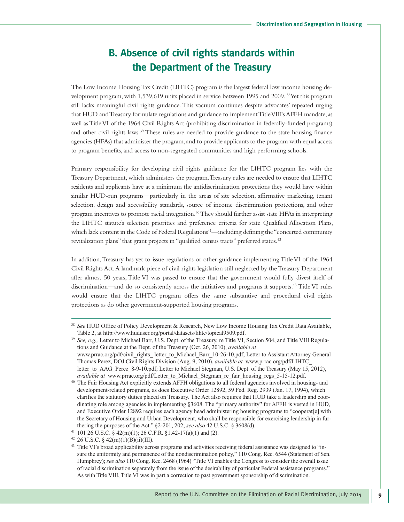## **B. Absence of civil rights standards within the Department of the Treasury**

The Low Income HousingTax Credit (LIHTC) program is the largest federal low income housing development program, with 1,539,619 units placed in service between 1995 and 2009.<sup>38</sup>Yet this program still lacks meaningful civil rights guidance.This vacuum continues despite advocates' repeated urging that HUD and Treasury formulate regulations and guidance to implement Title VIII's AFFH mandate, as well asTitleVI of the 1964 Civil Rights Act (prohibiting discrimination in federally-funded programs) and other civil rights laws.<sup>39</sup> These rules are needed to provide guidance to the state housing finance agencies (HFAs) that administer the program,and to provide applicants to the program with equal access to program benefits, and access to non-segregated communities and high performing schools.

Primary responsibility for developing civil rights guidance for the LIHTC program lies with the Treasury Department, which administers the program.Treasury rules are needed to ensure that LIHTC residents and applicants have at a minimum the antidiscrimination protections they would have within similar HUD-run programs—particularly in the areas of site selection, affirmative marketing, tenant selection, design and accessibility standards, source of income discrimination protections, and other program incentives to promote racial integration.<sup>40</sup> They should further assist state HFAs in interpreting the LIHTC statute's selection priorities and preference criteria for state Qualified Allocation Plans, which lack content in the Code of Federal Regulations 41 —including defining the"concerted community revitalization plans" that grant projects in "qualified census tracts" preferred status. 42

In addition,Treasury has yet to issue regulations or other guidance implementing TitleVI of the 1964 Civil Rights Act.A landmark piece of civil rights legislation still neglected by theTreasury Department after almost 50 years,Title VI was passed to ensure that the government would fully divest itself of discrimination—and do so consistently across the initiatives and programs it supports. <sup>43</sup> TitleVI rules would ensure that the LIHTC program offers the same substantive and procedural civil rights protections as do other government-supported housing programs.

<sup>38</sup> *See* HUD Office of Policy Development & Research, New Low Income Housing Tax Credit Data Available, Table 2, at http://www.huduser.org/portal/datasets/lihtc/topical9509.pdf.

<sup>39</sup> *See, e.g.,* Letter to Michael Barr, U.S. Dept. of the Treasury, re Title VI, Section 504, and Title VIII Regulations and Guidance at the Dept. of the Treasury (Oct. 26, 2010), *available at* www.prrac.org/pdf/civil\_rights\_letter\_to\_Michael\_Barr\_10-26-10.pdf; Letter to Assistant Attorney General Thomas Perez, DOJ Civil Rights Division (Aug. 9, 2010), *available at* www.prrac.org/pdf/LIHTC\_ letter to AAG Perez 8-9-10.pdf; Letter to Michael Stegman, U.S. Dept. of the Treasury (May 15, 2012), *available at* www.prrac.org/pdf/Letter to Michael Stegman re fair housing regs 5-15-12.pdf.

<sup>40</sup> The Fair Housing Act explicitly extends AFFH obligations to all federal agencies involved in housing- and development-related programs, as does Executive Order 12892, 59 Fed. Reg. 2939 (Jan. 17, 1994), which clarifies the statutory duties placed on Treasury. The Act also requires that HUD take a leadership and coordinating role among agencies in implementing §3608. The "primary authority" for AFFH is vested in HUD, and Executive Order 12892 requires each agency head administering housing programs to "cooperat[e] with the Secretary of Housing and Urban Development, who shall be responsible for exercising leadership in furthering the purposes of the Act." §2-201, 202; *see also* 42 U.S.C. § 3608(d).

<sup>41</sup> 101 26 U.S.C. § 42(m)(1); 26 C.F.R. §1.42-17(a)(1) and (2).

 $42$  26 U.S.C. § 42(m)(1)(B)(ii)(III).

<sup>&</sup>lt;sup>43</sup> Title VI's broad applicability across programs and activities receiving federal assistance was designed to "insure the uniformity and permanence of the nondiscrimination policy," 110 Cong. Rec. 6544 (Statement of Sen. Humphrey); *see also* 110 Cong. Rec. 2468 (1964) "Title VI enables the Congress to consider the overall issue of racial discrimination separately from the issue of the desirability of particular Federal assistance programs." As with Title VIII, Title VI was in part a correction to past government sponsorship of discrimination.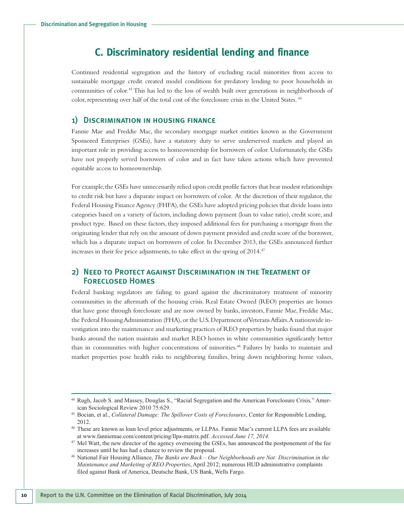## **C. Discriminatory residential lending and finance**

Continued residential segregation and the history of excluding racial minorities from access to sustainable mortgage credit created model conditions for predatory lending to poor households in communities of color. <sup>44</sup> This has led to the loss of wealth built over generations in neighborhoods of color, representing over half of the total cost of the foreclosure crisis in the United States. <sup>45</sup>

#### 1) Discrimination in housing finance

Fannie Mae and Freddie Mac, the secondary mortgage market entities known as the Government Sponsored Enterprises (GSEs), have a statutory duty to serve underserved markets and played an important role in providing access to homeownership for borrowers of color. Unfortunately, the GSEs have not properly served borrowers of color and in fact have taken actions which have prevented equitable access to homeownership.

For example, the GSEs have unnecessarily relied upon credit profile factors that bear modest relationships to credit risk but have a disparate impact on borrowers of color. At the discretion of their regulator, the Federal Housing Finance Agency (FHFA), the GSEs have adopted pricing policies that divide loans into categories based on a variety of factors, including down payment (loan to value ratio), credit score, and product type. Based on these factors, they imposed additional fees for purchasing a mortgage from the originating lender that rely on the amount of down payment provided and credit score of the borrower, which has a disparate impact on borrowers of color. In December 2013, the GSEs announced further increases in their fee price adjustments, to take effect in the spring of 2014. 47

#### 2) Need to Protect against Discrimination in the Treatment of Foreclosed Homes

Federal banking regulators are failing to guard against the discriminatory treatment of minority communities in the aftermath of the housing crisis. Real Estate Owned (REO) properties are homes that have gone through foreclosure and are now owned by banks, investors, Fannie Mae, Freddie Mac, the Federal Housing Administration (FHA), or the U.S. Department of Veterans Affairs. A nationwide investigation into the maintenance and marketing practices of REO properties by banks found that major banks around the nation maintain and market REO homes in white communities significantly better than in communities with higher concentrations of minorities. <sup>48</sup> Failures by banks to maintain and market properties pose health risks to neighboring families, bring down neighboring home values,

<sup>44</sup> Rugh, Jacob S. and Massey, Douglas S., "Racial Segregation and the American Foreclosure Crisis*,*" American Sociological Review 2010 75:629.

<sup>45</sup> Bocian, et al., *Collateral Damage: The Spillover Costs of Foreclosures*, Center for Responsible Lending, 2012.

<sup>46</sup> These are known as loan level price adjustments, or LLPAs. Fannie Mae's current LLPA fees are available at www.fanniemae.com/content/pricing/llpa-matrix.pdf. *Accessed June 17, 2014.*

<sup>&</sup>lt;sup>47</sup> Mel Watt, the new director of the agency overseeing the GSEs, has announced the postponement of the fee increases until he has had a chance to review the proposal.

<sup>48</sup> National Fair Housing Alliance, *The Banks are Back – Our Neighborhoods are Not: Discrimination in the Maintenance and Marketing of REO Properties*, April 2012; numerous HUD administrative complaints filed against Bank of America, Deutsche Bank, US Bank, Wells Fargo.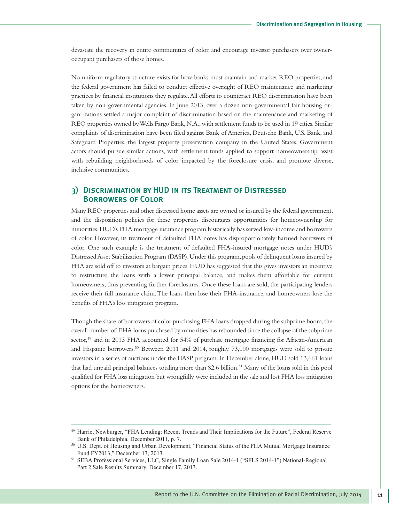devastate the recovery in entire communities of color, and encourage investor purchasers over owneroccupant purchasers of those homes.

No uniform regulatory structure exists for how banks must maintain and market REO properties, and the federal government has failed to conduct effective oversight of REO maintenance and marketing practices by financial institutions they regulate.All efforts to counteract REO discrimination have been taken by non-governmental agencies. In June 2013, over a dozen non-governmental fair housing organi-zations settled a major complaint of discrimination based on the maintenance and marketing of REO properties owned byWells Fargo Bank,N.A.,with settlement funds to be used in 19 cities. Similar complaints of discrimination have been filed against Bank of America, Deutsche Bank, U.S. Bank, and Safeguard Properties, the largest property preservation company in the United States. Government actors should pursue similar actions, with settlement funds applied to support homeownership, assist with rebuilding neighborhoods of color impacted by the foreclosure crisis, and promote diverse, inclusive communities.

#### 3) Discrimination by HUD in its Treatment of Distressed Borrowers of Color

Many REO properties and other distressed home assets are owned or insured by the federal government, and the disposition policies for these properties discourages opportunities for homeownership for minorities.HUD's FHA mortgage insurance program historically has served low-income and borrowers of color. However, its treatment of defaulted FHA notes has disproportionately harmed borrowers of color. One such example is the treatment of defaulted FHA-insured mortgage notes under HUD's DistressedAsset Stabilization Program (DASP).Under this program,pools of delinquent loans insured by FHA are sold off to investors at bargain prices. HUD has suggested that this gives investors an incentive to restructure the loans with a lower principal balance, and makes them affordable for current homeowners, thus preventing further foreclosures. Once these loans are sold, the participating lenders receive their full insurance claim.The loans then lose their FHA-insurance, and homeowners lose the benefits of FHA's loss mitigation program.

Though the share of borrowers of color purchasing FHA loans dropped during the subprime boom,the overall number of FHA loans purchased by minorities has rebounded since the collapse of the subprime sector,<sup>49</sup> and in 2013 FHA accounted for 54% of purchase mortgage financing for African-American and Hispanic borrowers. <sup>50</sup> Between 2011 and 2014, roughly 73,000 mortgages were sold to private investors in a series of auctions under the DASP program. In December alone, HUD sold 13,661 loans that had unpaid principal balances totaling more than \$2.6 billion. <sup>51</sup> Many of the loans sold in this pool qualified for FHA loss mitigation but wrongfully were included in the sale and lost FHA loss mitigation options for the homeowners.

<sup>49</sup> Harriet Newburger, "FHA Lending: Recent Trends and Their Implications for the Future", Federal Reserve Bank of Philadelphia, December 2011, p. 7.

<sup>50</sup> U.S. Dept. of Housing and Urban Development, "Financial Status of the FHA Mutual Mortgage Insurance Fund FY2013," December 13, 2013.

<sup>51</sup> SEBA Professional Services, LLC, Single Family Loan Sale 2014-1 ("SFLS 2014-1") National-Regional Part 2 Sale Results Summary, December 17, 2013.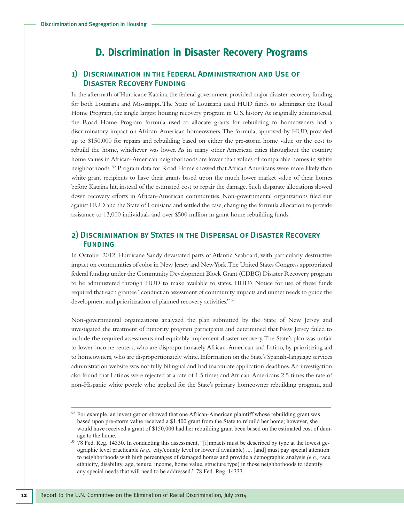### **D. Discrimination in Disaster Recovery Programs**

#### 1) Discrimination in the Federal Administration and Use of Disaster Recovery Funding

In the aftermath of Hurricane Katrina, the federal government provided major disaster recovery funding for both Louisiana and Mississippi.The State of Louisiana used HUD funds to administer the Road Home Program, the single largest housing recovery program in U.S. history.As originally administered, the Road Home Program formula used to allocate grants for rebuilding to homeowners had a discriminatory impact on African-American homeowners.The formula, approved by HUD, provided up to \$150,000 for repairs and rebuilding based on either the pre-storm home value or the cost to rebuild the home, whichever was lower. As in many other American cities throughout the country, home values in African-American neighborhoods are lower than values of comparable homes in white neighborhoods. <sup>52</sup> Program data for Road Home showed that African Americans were more likely than white grant recipients to have their grants based upon the much lower market value of their homes before Katrina hit, instead of the estimated cost to repair the damage. Such disparate allocations slowed down recovery efforts in African-American communities. Non-governmental organizations filed suit against HUD and the State of Louisiana and settled the case, changing the formula allocation to provide assistance to 13,000 individuals and over \$500 million in grant home rebuilding funds.

#### 2) Discrimination by States in the Dispersal of Disaster Recovery **FUNDING**

In October 2012, Hurricane Sandy devastated parts of Atlantic Seaboard, with particularly destructive impact on communities of color in New Jersey and NewYork.The United States Congress appropriated federal funding under the Community Development Block Grant (CDBG) Disaster Recovery program to be administered through HUD to make available to states. HUD's Notice for use of these funds required that each grantee "conduct an assessment of community impacts and unmet needs to guide the development and prioritization of planned recovery activities." <sup>53</sup>

Non-governmental organizations analyzed the plan submitted by the State of New Jersey and investigated the treatment of minority program participants and determined that New Jersey failed to include the required assessments and equitably implement disaster recovery.The State's plan was unfair to lower-income renters, who are disproportionately African-American and Latino, by prioritizing aid to homeowners, who are disproportionately white. Information on the State's Spanish-language services administration website was not fully bilingual and had inaccurate application deadlines.An investigation also found that Latinos were rejected at a rate of 1.5 times and African-Americans 2.5 times the rate of non-Hispanic white people who applied for the State's primary homeowner rebuilding program, and

 $52$  For example, an investigation showed that one African-American plaintiff whose rebuilding grant was based upon pre-storm value received a \$1,400 grant from the State to rebuild her home; however, she would have received a grant of \$150,000 had her rebuilding grant been based on the estimated cost of damage to the home.

<sup>53</sup> 78 Fed. Reg. 14330. In conducting this assessment, "[i]mpacts must be described by type at the lowest geographic level practicable *(e.g.,* city/county level or lower if available) .... [and] must pay special attention to neighborhoods with high percentages of damaged homes and provide a demographic analysis *(e.g.,* race, ethnicity, disability, age, tenure, income, home value, structure type) in those neighborhoods to identify any special needs that will need to be addressed." 78 Fed. Reg. 14333.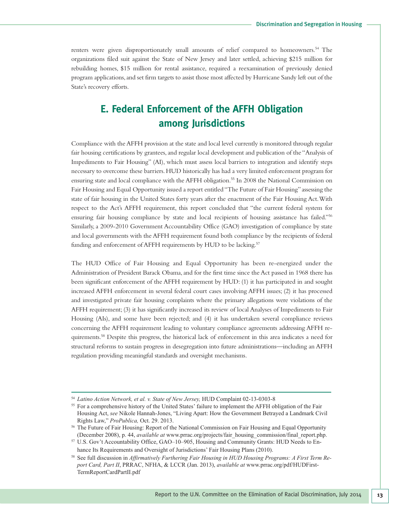renters were given disproportionately small amounts of relief compared to homeowners. <sup>54</sup> The organizations filed suit against the State of New Jersey and later settled, achieving \$215 million for rebuilding homes, \$15 million for rental assistance, required a reexamination of previously denied program applications,and set firm targets to assist those most affected by Hurricane Sandy left out of the State's recovery efforts.

## **E. Federal Enforcement of the AFFH Obligation among Jurisdictions**

Compliance with theAFFH provision at the state and local level currently is monitored through regular fair housing certifications by grantees, and regular local development and publication of the "Analysis of Impediments to Fair Housing" (AI), which must assess local barriers to integration and identify steps necessary to overcome these barriers.HUD historically has had a very limited enforcement program for ensuring state and local compliance with the AFFH obligation. <sup>55</sup> In 2008 the National Commission on Fair Housing and Equal Opportunity issued a report entitled"The Future of Fair Housing" assessing the state of fair housing in the United States forty years after the enactment of the Fair Housing Act.With respect to the Act's AFFH requirement, this report concluded that "the current federal system for ensuring fair housing compliance by state and local recipients of housing assistance has failed."<sup>56</sup> Similarly,a 2009-2010 Government Accountability Office (GAO) investigation of compliance by state and local governments with the AFFH requirement found both compliance by the recipients of federal funding and enforcement of AFFH requirements by HUD to be lacking.<sup>57</sup>

The HUD Office of Fair Housing and Equal Opportunity has been re-energized under the Administration of President Barack Obama, and for the first time since the Act passed in 1968 there has been significant enforcement of the AFFH requirement by HUD: (1) it has participated in and sought increased AFFH enforcement in several federal court cases involving AFFH issues; (2) it has processed and investigated private fair housing complaints where the primary allegations were violations of the AFFH requirement; (3) it has significantly increased its review of local Analyses of Impediments to Fair Housing (AIs), and some have been rejected; and (4) it has undertaken several compliance reviews concerning the AFFH requirement leading to voluntary compliance agreements addressing AFFH requirements. <sup>58</sup> Despite this progress, the historical lack of enforcement in this area indicates a need for structural reforms to sustain progress in desegregation into future administrations—including an AFFH regulation providing meaningful standards and oversight mechanisms.

<sup>54</sup> *Latino Action Network, et al. v. State of New Jersey,* HUD Complaint 02-13-0303-8

<sup>&</sup>lt;sup>55</sup> For a comprehensive history of the United States' failure to implement the AFFH obligation of the Fair Housing Act, *see* Nikole Hannah-Jones, "Living Apart: How the Government Betrayed a Landmark Civil Rights Law," *ProPublica,* Oct. 29. 2013.

<sup>&</sup>lt;sup>56</sup> The Future of Fair Housing: Report of the National Commission on Fair Housing and Equal Opportunity (December 2008), p. 44, *available at* www.prrac.org/projects/fair\_housing\_commission/final\_report.php.

<sup>57</sup> U.S. Gov't Accountability Office, GAO–10–905, Housing and Community Grants: HUD Needs to Enhance Its Requirements and Oversight of Jurisdictions' Fair Housing Plans (2010).

<sup>58</sup> See full discussion in *Affirmatively Furthering Fair Housing in HUD Housing Programs: A First Term Report Card, Part II*, PRRAC, NFHA, & LCCR (Jan. 2013), *available at* www.prrac.org/pdf/HUDFirst-TermReportCardPartII.pdf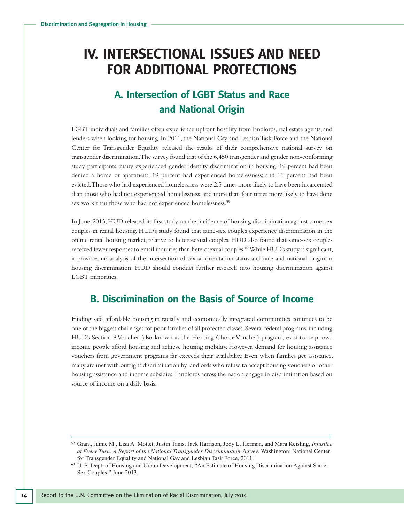## **IV. INTERSECTIONAL ISSUES AND NEED FOR ADDITIONAL PROTECTIONS**

## **A. Intersection of LGBT Status and Race and National Origin**

LGBT individuals and families often experience upfront hostility from landlords, real estate agents, and lenders when looking for housing. In 2011, the National Gay and Lesbian Task Force and the National Center for Transgender Equality released the results of their comprehensive national survey on transgender discrimination.The survey found that of the 6,450 transgender and gender non-conforming study participants, many experienced gender identity discrimination in housing: 19 percent had been denied a home or apartment; 19 percent had experienced homelessness; and 11 percent had been evicted.Those who had experienced homelessness were 2.5 times more likely to have been incarcerated than those who had not experienced homelessness, and more than four times more likely to have done sex work than those who had not experienced homelessness.<sup>59</sup>

In June, 2013,HUD released its first study on the incidence of housing discrimination against same-sex couples in rental housing. HUD's study found that same-sex couples experience discrimination in the online rental housing market, relative to heterosexual couples. HUD also found that same-sex couples received fewer responses to email inquiries than heterosexual couples. 60While HUD's study is significant, it provides no analysis of the intersection of sexual orientation status and race and national origin in housing discrimination. HUD should conduct further research into housing discrimination against LGBT minorities.

### **B. Discrimination on the Basis of Source of Income**

Finding safe, affordable housing in racially and economically integrated communities continues to be one of the biggest challenges for poor families of all protected classes.Several federal programs,including HUD's Section 8 Voucher (also known as the Housing Choice Voucher) program, exist to help lowincome people afford housing and achieve housing mobility. However, demand for housing assistance vouchers from government programs far exceeds their availability. Even when families get assistance, many are met with outright discrimination by landlords who refuse to accept housing vouchers or other housing assistance and income subsidies. Landlords across the nation engage in discrimination based on source of income on a daily basis.

<sup>59</sup> Grant, Jaime M., Lisa A. Mottet, Justin Tanis, Jack Harrison, Jody L. Herman, and Mara Keisling, *Injustice at Every Turn: A Report of the National Transgender Discrimination Survey*. Washington: National Center for Transgender Equality and National Gay and Lesbian Task Force, 2011.

<sup>60</sup> U. S. Dept. of Housing and Urban Development, "An Estimate of Housing Discrimination Against Same-Sex Couples," June 2013.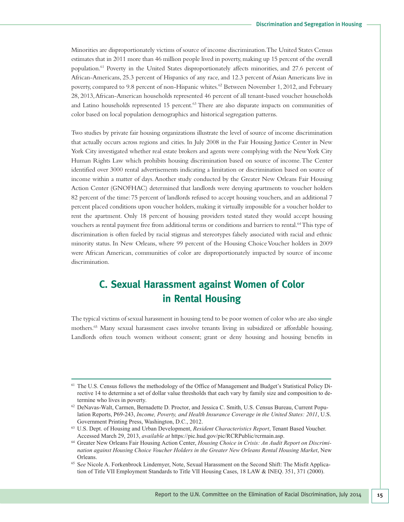Minorities are disproportionately victims of source of income discrimination.The United States Census estimates that in 2011 more than 46 million people lived in poverty, making up 15 percent of the overall population. <sup>61</sup> Poverty in the United States disproportionately affects minorities, and 27.6 percent of African-Americans, 25.3 percent of Hispanics of any race,and 12.3 percent of Asian Americans live in poverty, compared to 9.8 percent of non-Hispanic whites.<sup>62</sup> Between November 1, 2012, and February 28, 2013,African-American households represented 46 percent of all tenant-based voucher households and Latino households represented 15 percent.<sup>63</sup> There are also disparate impacts on communities of color based on local population demographics and historical segregation patterns.

Two studies by private fair housing organizations illustrate the level of source of income discrimination that actually occurs across regions and cities. In July 2008 in the Fair Housing Justice Center in New York City investigated whether real estate brokers and agents were complying with the NewYork City Human Rights Law which prohibits housing discrimination based on source of income.The Center identified over 3000 rental advertisements indicating a limitation or discrimination based on source of income within a matter of days.Another study conducted by the Greater New Orleans Fair Housing Action Center (GNOFHAC) determined that landlords were denying apartments to voucher holders 82 percent of the time: 75 percent of landlords refused to accept housing vouchers, and an additional 7 percent placed conditions upon voucher holders,making it virtually impossible for a voucher holder to rent the apartment. Only 18 percent of housing providers tested stated they would accept housing vouchers as rental payment free from additional terms or conditions and barriers to rental. 64This type of discrimination is often fueled by racial stigmas and stereotypes falsely associated with racial and ethnic minority status. In New Orleans, where 99 percent of the Housing Choice Voucher holders in 2009 were African American, communities of color are disproportionately impacted by source of income discrimination.

## **C. Sexual Harassment against Women of Color in Rental Housing**

The typical victims of sexual harassment in housing tend to be poor women of color who are also single mothers. <sup>65</sup> Many sexual harassment cases involve tenants living in subsidized or affordable housing. Landlords often touch women without consent; grant or deny housing and housing benefits in

<sup>&</sup>lt;sup>61</sup> The U.S. Census follows the methodology of the Office of Management and Budget's Statistical Policy Directive 14 to determine a set of dollar value thresholds that each vary by family size and composition to determine who lives in poverty.

<sup>62</sup> DeNavas-Walt, Carmen, Bernadette D. Proctor, and Jessica C. Smith, U.S. Census Bureau, Current Population Reports, P69-243, *Income, Poverty, and Health Insurance Coverage in the United States: 2011*, U.S. Government Printing Press, Washington, D.C., 2012.

<sup>63</sup> U.S. Dept. of Housing and Urban Development, *Resident Characteristics Report*, Tenant Based Voucher. Accessed March 29, 2013, *available at* https://pic.hud.gov/pic/RCRPublic/rcrmain.asp.

<sup>64</sup> Greater New Orleans Fair Housing Action Center, *Housing Choice in Crisis: An Audit Report on Discrimination against Housing Choice Voucher Holders in the Greater New Orleans Rental Housing Market*, New Orleans.

<sup>&</sup>lt;sup>65</sup> See Nicole A. Forkenbrock Lindemyer, Note, Sexual Harassment on the Second Shift: The Misfit Application of Title VII Employment Standards to Title VII Housing Cases, 18 LAW & INEQ. 351, 371 (2000).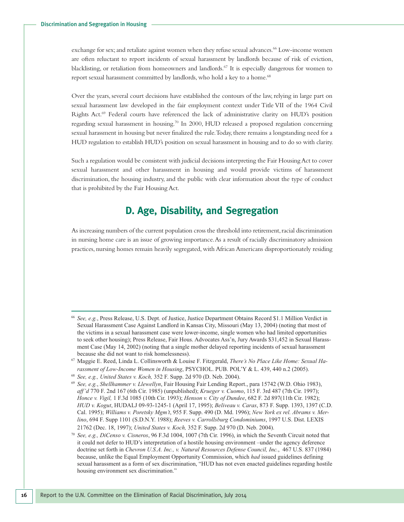exchange for sex; and retaliate against women when they refuse sexual advances.<sup>66</sup> Low-income women are often reluctant to report incidents of sexual harassment by landlords because of risk of eviction, blacklisting, or retaliation from homeowners and landlords. <sup>67</sup> It is especially dangerous for women to report sexual harassment committed by landlords, who hold a key to a home. 68

Over the years, several court decisions have established the contours of the law, relying in large part on sexual harassment law developed in the fair employment context under Title VII of the 1964 Civil Rights Act. <sup>69</sup> Federal courts have referenced the lack of administrative clarity on HUD's position regarding sexual harassment in housing. <sup>70</sup> In 2000, HUD released a proposed regulation concerning sexual harassment in housing but never finalized the rule. Today, there remains a longstanding need for a HUD regulation to establish HUD's position on sexual harassment in housing and to do so with clarity.

Such a regulation would be consistent with judicial decisions interpreting the Fair Housing Act to cover sexual harassment and other harassment in housing and would provide victims of harassment discrimination, the housing industry, and the public with clear information about the type of conduct that is prohibited by the Fair Housing Act.

### **D. Age, Disability, and Segregation**

As increasing numbers of the current population cross the threshold into retirement, racial discrimination in nursing home care is an issue of growing importance.As a result of racially discriminatory admission practices, nursing homes remain heavily segregated, with African Americans disproportionately residing

<sup>66</sup> *See, e.g.*, Press Release, U.S. Dept. of Justice, Justice Department Obtains Record \$1.1 Million Verdict in Sexual Harassment Case Against Landlord in Kansas City, Missouri (May 13, 2004) (noting that most of the victims in a sexual harassment case were lower-income, single women who had limited opportunities to seek other housing); Press Release, Fair Hous. Advocates Ass'n, Jury Awards \$31,452 in Sexual Harassment Case (May 14, 2002) (noting that a single mother delayed reporting incidents of sexual harassment because she did not want to risk homelessness).

<sup>67</sup> Maggie E. Reed, Linda L. Collinsworth & Louise F. Fitzgerald, *There's No Place Like Home: Sexual Harassment of Low-Income Women in Housing*, PSYCHOL. PUB. POL'Y & L. 439, 440 n.2 (2005).

<sup>68</sup> *See, e.g., United States v. Koch,* 352 F. Supp. 2d 970 (D. Neb. 2004).

<sup>69</sup> *See, e.g.*, *Shellhammer v. Llewellyn*, Fair Housing Fair Lending Report., para 15742 (W.D. Ohio 1983), *aff'd* 770 F. 2nd 167 (6th Cir. 1985) (unpublished); *Krueger v. Cuomo*, 115 F. 3rd 487 (7th Cir. 1997); *Honce v. Vigil,* 1 F.3d 1085 (10th Cir. 1993); *Henson v. City of Dundee*, 682 F. 2d 897(11th Cir. 1982); *HUD v. Kogut*, HUDALJ 09-93-1245-1 (April 17, 1995); *Beliveau v. Caras*, 873 F. Supp. 1393, 1397 (C.D. Cal. 1995); *Williams v. Poretsky Mgm't*, 955 F. Supp. 490 (D. Md. 1996); *New York ex rel. Abrams v. Merlino*, 694 F. Supp 1101 (S.D.N.Y. 1988); *Reeves v. Carrollsburg Condominiums*, 1997 U.S. Dist. LEXIS 21762 (Dec. 18, 1997); *United States v. Koch,* 352 F. Supp. 2d 970 (D. Neb. 2004).

<sup>70</sup> *See, e.g., DiCenso v. Cisneros*, 96 F.3d 1004, 1007 (7th Cir. 1996), in which the Seventh Circuit noted that it could not defer to HUD's interpretation of a hostile housing environment –under the agency deference doctrine set forth in *Chevron U.S.A. Inc., v. Natural Resources Defense Council, Inc.*, 467 U.S. 837 (1984) because, unlike the Equal Employment Opportunity Commission, which *had* issued guidelines defining sexual harassment as a form of sex discrimination, "HUD has not even enacted guidelines regarding hostile housing environment sex discrimination."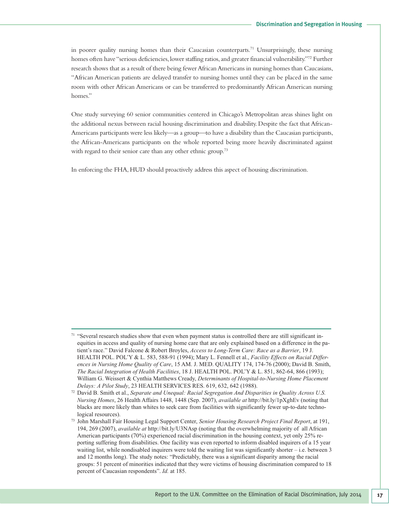in poorer quality nursing homes than their Caucasian counterparts. <sup>71</sup> Unsurprisingly, these nursing homes often have "serious deficiencies, lower staffing ratios, and greater financial vulnerability."<sup>72</sup> Further research shows that as a result of there being fewer African Americans in nursing homes than Caucasians, "African American patients are delayed transfer to nursing homes until they can be placed in the same room with other African Americans or can be transferred to predominantly African American nursing homes."

One study surveying 60 senior communities centered in Chicago's Metropolitan areas shines light on the additional nexus between racial housing discrimination and disability. Despite the fact that African-Americans participants were less likely—as a group—to have a disability than the Caucasian participants, the African-Americans participants on the whole reported being more heavily discriminated against with regard to their senior care than any other ethnic group.<sup>73</sup>

In enforcing the FHA,HUD should proactively address this aspect of housing discrimination.

 $71$  "Several research studies show that even when payment status is controlled there are still significant inequities in access and quality of nursing home care that are only explained based on a difference in the patient's race." David Falcone & Robert Broyles, *Access to Long-Term Care: Race as a Barrier*, 19 J. HEALTH POL. POL'Y & L. 583, 588-91 (1994); Mary L. Fennell et al., *Facility Effects on Racial Differences in Nursing Home Quality of Care*, 15 AM. J. MED. QUALITY 174, 174-76 (2000); David B. Smith, *The Racial Integration of Health Facilities*, 18 J. HEALTH POL. POL'Y & L. 851, 862-64, 866 (1993); William G. Weissert & Cynthia Matthews Cready, *Determinants of Hospital-to-Nursing Home Placement Delays: A Pilot Study*, 23 HEALTH SERVICES RES. 619, 632, 642 (1988).

<sup>72</sup> David B. Smith et al., *Separate and Unequal: Racial Segregation And Disparities in Quality Across U.S. Nursing Homes*, 26 Health Affairs 1448, 1448 (Sep. 2007), *available at* http://bit.ly/1pXghEv (noting that blacks are more likely than whites to seek care from facilities with significantly fewer up-to-date technological resources).

<sup>73</sup> John Marshall Fair Housing Legal Support Center, *Senior Housing Research Project Final Report*, at 191, 194, 269 (2007), *available at* http://bit.ly/U3NAsp (noting that the overwhelming majority of all African American participants (70%) experienced racial discrimination in the housing context, yet only 25% reporting suffering from disabilities. One facility was even reported to inform disabled inquirers of a 15 year waiting list, while nondisabled inquirers were told the waiting list was significantly shorter – i.e. between 3 and 12 months long). The study notes: "Predictably, there was a significant disparity among the racial groups: 51 percent of minorities indicated that they were victims of housing discrimination compared to 18 percent of Caucasian respondents". *Id.* at 185.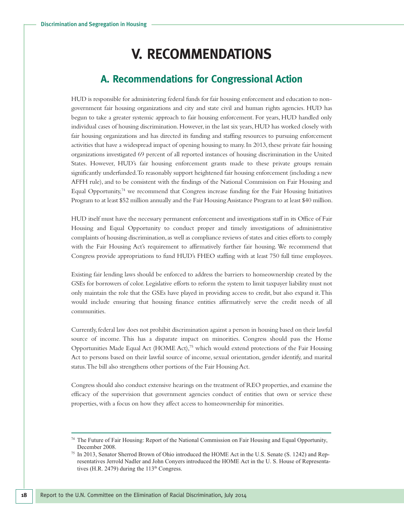## **V. RECOMMENDATIONS**

## **A. Recommendations for Congressional Action**

HUD is responsible for administering federal funds for fair housing enforcement and education to nongovernment fair housing organizations and city and state civil and human rights agencies. HUD has begun to take a greater systemic approach to fair housing enforcement. For years, HUD handled only individual cases of housing discrimination.However, in the last six years,HUD has worked closely with fair housing organizations and has directed its funding and staffing resources to pursuing enforcement activities that have a widespread impact of opening housing to many.In 2013, these private fair housing organizations investigated 69 percent of all reported instances of housing discrimination in the United States. However, HUD's fair housing enforcement grants made to these private groups remain significantly underfunded.To reasonably support heightened fair housing enforcement (including a new AFFH rule), and to be consistent with the findings of the National Commission on Fair Housing and Equal Opportunity,<sup>74</sup> we recommend that Congress increase funding for the Fair Housing Initiatives Program to at least \$52 million annually and the Fair Housing Assistance Program to at least \$40 million.

HUD itself must have the necessary permanent enforcement and investigations staff in its Office of Fair Housing and Equal Opportunity to conduct proper and timely investigations of administrative complaints of housing discrimination,as well as compliance reviews of states and cities efforts to comply with the Fair Housing Act's requirement to affirmatively further fair housing. We recommend that Congress provide appropriations to fund HUD's FHEO staffing with at least 750 full time employees.

Existing fair lending laws should be enforced to address the barriers to homeownership created by the GSEs for borrowers of color. Legislative efforts to reform the system to limit taxpayer liability must not only maintain the role that the GSEs have played in providing access to credit, but also expand it.This would include ensuring that housing finance entities affirmatively serve the credit needs of all communities.

Currently,federal law does not prohibit discrimination against a person in housing based on their lawful source of income. This has a disparate impact on minorities. Congress should pass the Home Opportunities Made Equal Act (HOME Act), <sup>75</sup> which would extend protections of the Fair Housing Act to persons based on their lawful source of income, sexual orientation, gender identify, and marital status.The bill also strengthens other portions of the Fair Housing Act.

Congress should also conduct extensive hearings on the treatment of REO properties,and examine the efficacy of the supervision that government agencies conduct of entities that own or service these properties, with a focus on how they affect access to homeownership for minorities.

<sup>74</sup> The Future of Fair Housing: Report of the National Commission on Fair Housing and Equal Opportunity, December 2008.

<sup>75</sup> In 2013, Senator Sherrod Brown of Ohio introduced the HOME Act in the U.S. Senate (S. 1242) and Representatives Jerrold Nadler and John Conyers introduced the HOME Act in the U. S. House of Representatives (H.R. 2479) during the  $113<sup>th</sup>$  Congress.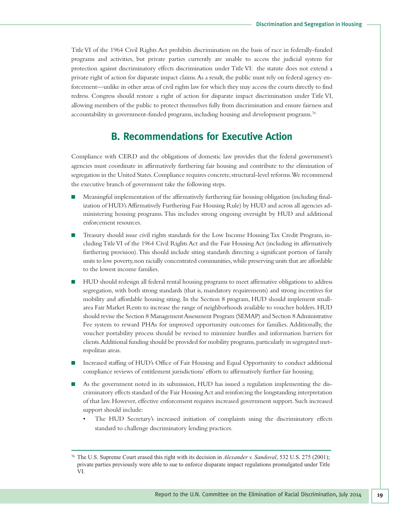TitleVI of the 1964 Civil Rights Act prohibits discrimination on the basis of race in federally-funded programs and activities, but private parties currently are unable to access the judicial system for protection against discriminatory effects discrimination under TitleVI: the statute does not extend a private right of action for disparate impact claims. As a result, the public must rely on federal agency enforcement—unlike in other areas of civil rights law for which they may access the courts directly to find redress. Congress should restore a right of action for disparate impact discrimination under Title VI, allowing members of the public to protect themselves fully from discrimination and ensure fairness and accountability in government-funded programs, including housing and development programs. 76

### **B. Recommendations for Executive Action**

Compliance with CERD and the obligations of domestic law provides that the federal government's agencies must coordinate in affirmatively furthering fair housing and contribute to the elimination of segregation in the United States.Compliance requires concrete,structural-level reforms.We recommend the executive branch of government take the following steps.

- Meaningful implementation of the affirmatively furthering fair housing obligation (including finalization of HUD'sAffirmatively Furthering Fair Housing Rule) by HUD and across all agencies administering housing programs.This includes strong ongoing oversight by HUD and additional enforcement resources.
- Treasury should issue civil rights standards for the Low Income Housing Tax Credit Program, includingTitleVI of the 1964 Civil Rights Act and the Fair Housing Act (including its affirmatively furthering provision).This should include siting standards directing a significant portion of family units to low poverty,non racially concentrated communities,while preserving units that are affordable to the lowest income families.
- HUD should redesign all federal rental housing programs to meet affirmative obligations to address segregation, with both strong standards (that is, mandatory requirements) and strong incentives for mobility and affordable housing siting. In the Section 8 program, HUD should implement smallarea Fair Market Rents to increase the range of neighborhoods available to voucher holders.HUD should revise the Section 8 Management Assessment Program (SEMAP) and Section 8 Administrative Fee system to reward PHAs for improved opportunity outcomes for families. Additionally, the voucher portability process should be revised to minimize hurdles and information barriers for clients. Additional funding should be provided for mobility programs, particularly in segregated metropolitan areas.
- Increased staffing of HUD's Office of Fair Housing and Equal Opportunity to conduct additional compliance reviews of entitlement jurisdictions' efforts to affirmatively further fair housing.
- As the government noted in its submission, HUD has issued a regulation implementing the discriminatory effects standard of the Fair HousingAct and reinforcing the longstanding interpretation of that law.However, effective enforcement requires increased government support. Such increased support should include:
	- The HUD Secretary's increased initiation of complaints using the discriminatory effects standard to challenge discriminatory lending practices.

<sup>76</sup> The U.S. Supreme Court erased this right with its decision in *Alexander v. Sandoval*, 532 U.S. 275 (2001); private parties previously were able to sue to enforce disparate impact regulations promulgated under Title VI.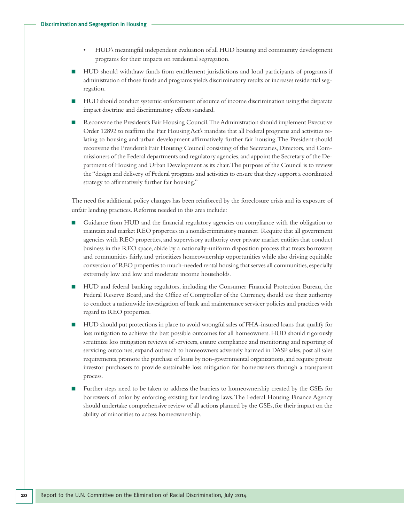- HUD's meaningful independent evaluation of all HUD housing and community development programs for their impacts on residential segregation.
- HUD should withdraw funds from entitlement jurisdictions and local participants of programs if administration of those funds and programs yields discriminatory results or increases residential segregation.
- HUD should conduct systemic enforcement of source of income discrimination using the disparate impact doctrine and discriminatory effects standard.
- Reconvene the President's Fair Housing Council. The Administration should implement Executive Order 12892 to reaffirm the Fair HousingAct's mandate that all Federal programs and activities relating to housing and urban development affirmatively further fair housing.The President should reconvene the President's Fair Housing Council consisting of the Secretaries, Directors,and Commissioners of the Federal departments and regulatory agencies,and appoint the Secretary of the Department of Housing and Urban Development as its chair.The purpose of the Council is to review the"design and delivery of Federal programs and activities to ensure that they support a coordinated strategy to affirmatively further fair housing."

The need for additional policy changes has been reinforced by the foreclosure crisis and its exposure of unfair lending practices. Reforms needed in this area include:

- Guidance from HUD and the financial regulatory agencies on compliance with the obligation to maintain and market REO properties in a nondiscriminatory manner. Require that all government agencies with REO properties, and supervisory authority over private market entities that conduct business in the REO space, abide by a nationally-uniform disposition process that treats borrowers and communities fairly, and prioritizes homeownership opportunities while also driving equitable conversion of REO properties to much-needed rental housing that serves all communities, especially extremely low and low and moderate income households.
- HUD and federal banking regulators, including the Consumer Financial Protection Bureau, the Federal Reserve Board, and the Office of Comptroller of the Currency, should use their authority to conduct a nationwide investigation of bank and maintenance servicer policies and practices with regard to REO properties.
- HUD should put protections in place to avoid wrongful sales of FHA-insured loans that qualify for loss mitigation to achieve the best possible outcomes for all homeowners. HUD should rigorously scrutinize loss mitigation reviews of servicers, ensure compliance and monitoring and reporting of servicing outcomes, expand outreach to homeowners adversely harmed in DASP sales, post all sales requirements, promote the purchase of loans by non-governmental organizations, and require private investor purchasers to provide sustainable loss mitigation for homeowners through a transparent process.
- Further steps need to be taken to address the barriers to homeownership created by the GSEs for borrowers of color by enforcing existing fair lending laws.The Federal Housing Finance Agency should undertake comprehensive review of all actions planned by the GSEs, for their impact on the ability of minorities to access homeownership.